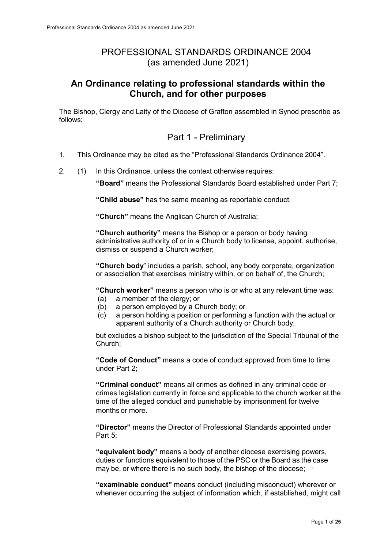## PROFESSIONAL STANDARDS ORDINANCE 2004 (as amended June 2021)

#### **An Ordinance relating to professional standards within the Church, and for other purposes**

The Bishop, Clergy and Laity of the Diocese of Grafton assembled in Synod prescribe as follows:

### Part 1 - Preliminary

- 1. This Ordinance may be cited as the "Professional Standards Ordinance 2004".
- 2. (1) In this Ordinance, unless the context otherwise requires:

**"Board"** means the Professional Standards Board established under Part 7;

**"Child abuse"** has the same meaning as reportable conduct.

**"Church"** means the Anglican Church of Australia;

**"Church authority"** means the Bishop or a person or body having administrative authority of or in a Church body to license, appoint, authorise, dismiss or suspend a Church worker;

**"Church body**" includes a parish, school, any body corporate, organization or association that exercises ministry within, or on behalf of, the Church;

**"Church worker"** means a person who is or who at any relevant time was:

- (a) a member of the clergy; or
- (b) a person employed by a Church body; or
- (c) a person holding a position or performing a function with the actual or apparent authority of a Church authority or Church body;

but excludes a bishop subject to the jurisdiction of the Special Tribunal of the Church;

**"Code of Conduct"** means a code of conduct approved from time to time under Part 2;

**"Criminal conduct"** means all crimes as defined in any criminal code or crimes legislation currently in force and applicable to the church worker at the time of the alleged conduct and punishable by imprisonment for twelve months or more.

**"Director"** means the Director of Professional Standards appointed under Part 5;

**"equivalent body"** means a body of another diocese exercising powers, duties or functions equivalent to those of the PSC or the Board as the case may be, or where there is no such body, the bishop of the diocese;

**"examinable conduct"** means conduct (including misconduct) wherever or whenever occurring the subject of information which, if established, might call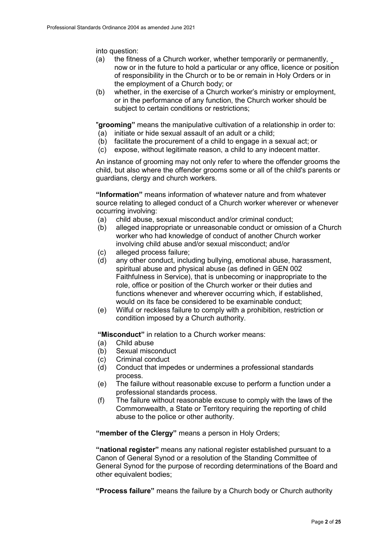into question:

- (a) the fitness of a Church worker, whether temporarily or permanently, now or in the future to hold a particular or any office, licence or position of responsibility in the Church or to be or remain in Holy Orders or in the employment of a Church body; or
- (b) whether, in the exercise of a Church worker's ministry or employment, or in the performance of any function, the Church worker should be subject to certain conditions or restrictions;

"**grooming"** means the manipulative cultivation of a relationship in order to: (a) initiate or hide sexual assault of an adult or a child;

- (b) facilitate the procurement of a child to engage in a sexual act; or
- (c) expose, without legitimate reason, a child to any indecent matter.
- 

An instance of grooming may not only refer to where the offender grooms the child, but also where the offender grooms some or all of the child's parents or guardians, clergy and church workers.

**"Information"** means information of whatever nature and from whatever source relating to alleged conduct of a Church worker wherever or whenever occurring involving:

- (a) child abuse, sexual misconduct and/or criminal conduct;
- (b) alleged inappropriate or unreasonable conduct or omission of a Church worker who had knowledge of conduct of another Church worker involving child abuse and/or sexual misconduct; and/or
- (c) alleged process failure;
- (d) any other conduct, including bullying, emotional abuse, harassment, spiritual abuse and physical abuse (as defined in GEN 002 Faithfulness in Service), that is unbecoming or inappropriate to the role, office or position of the Church worker or their duties and functions whenever and wherever occurring which, if established, would on its face be considered to be examinable conduct;
- (e) Wilful or reckless failure to comply with a prohibition, restriction or condition imposed by a Church authority.

**"Misconduct"** in relation to a Church worker means:

- (a) Child abuse
- (b) Sexual misconduct
- (c) Criminal conduct
- (d) Conduct that impedes or undermines a professional standards process.
- (e) The failure without reasonable excuse to perform a function under a professional standards process.
- (f) The failure without reasonable excuse to comply with the laws of the Commonwealth, a State or Territory requiring the reporting of child abuse to the police or other authority.

**"member of the Clergy"** means a person in Holy Orders;

**"national register"** means any national register established pursuant to a Canon of General Synod or a resolution of the Standing Committee of General Synod for the purpose of recording determinations of the Board and other equivalent bodies;

**"Process failure"** means the failure by a Church body or Church authority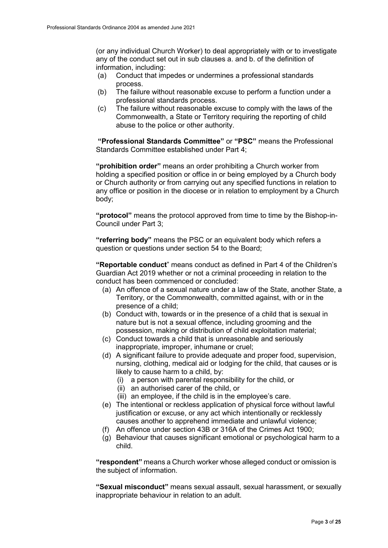(or any individual Church Worker) to deal appropriately with or to investigate any of the conduct set out in sub clauses a. and b. of the definition of information, including:

- (a) Conduct that impedes or undermines a professional standards process.
- (b) The failure without reasonable excuse to perform a function under a professional standards process.
- (c) The failure without reasonable excuse to comply with the laws of the Commonwealth, a State or Territory requiring the reporting of child abuse to the police or other authority.

**"Professional Standards Committee"** or **"PSC"** means the Professional Standards Committee established under Part 4;

**"prohibition order"** means an order prohibiting a Church worker from holding a specified position or office in or being employed by a Church body or Church authority or from carrying out any specified functions in relation to any office or position in the diocese or in relation to employment by a Church body;

**"protocol"** means the protocol approved from time to time by the Bishop-in-Council under Part 3;

**"referring body"** means the PSC or an equivalent body which refers a question or questions under section 54 to the Board;

**"Reportable conduct**" means conduct as defined in Part 4 of the Children's Guardian Act 2019 whether or not a criminal proceeding in relation to the conduct has been commenced or concluded:

- (a) An offence of a sexual nature under a law of the State, another State, a Territory, or the Commonwealth, committed against, with or in the presence of a child;
- (b) Conduct with, towards or in the presence of a child that is sexual in nature but is not a sexual offence, including grooming and the possession, making or distribution of child exploitation material;
- (c) Conduct towards a child that is unreasonable and seriously inappropriate, improper, inhumane or cruel;
- (d) A significant failure to provide adequate and proper food, supervision, nursing, clothing, medical aid or lodging for the child, that causes or is likely to cause harm to a child, by:
	- (i) a person with parental responsibility for the child, or
	- (ii) an authorised carer of the child, or
	- (iii) an employee, if the child is in the employee's care.
- (e) The intentional or reckless application of physical force without lawful justification or excuse, or any act which intentionally or recklessly causes another to apprehend immediate and unlawful violence;
- (f) An offence under section 43B or 316A of the Crimes Act 1900;
- (g) Behaviour that causes significant emotional or psychological harm to a child.

**"respondent"** means a Church worker whose alleged conduct or omission is the subject of information.

**"Sexual misconduct"** means sexual assault, sexual harassment, or sexually inappropriate behaviour in relation to an adult.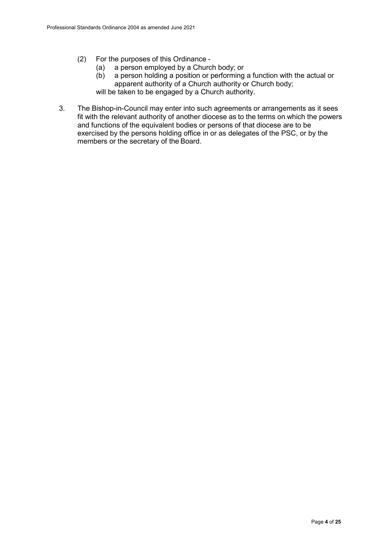- (2) For the purposes of this Ordinance
	- (a) a person employed by a Church body; or<br>(b) a person holding a position or performing
	- a person holding a position or performing a function with the actual or apparent authority of a Church authority or Church body; will be taken to be engaged by a Church authority.
	-
- 3. The Bishop-in-Council may enter into such agreements or arrangements as it sees fit with the relevant authority of another diocese as to the terms on which the powers and functions of the equivalent bodies or persons of that diocese are to be exercised by the persons holding office in or as delegates of the PSC, or by the members or the secretary of the Board.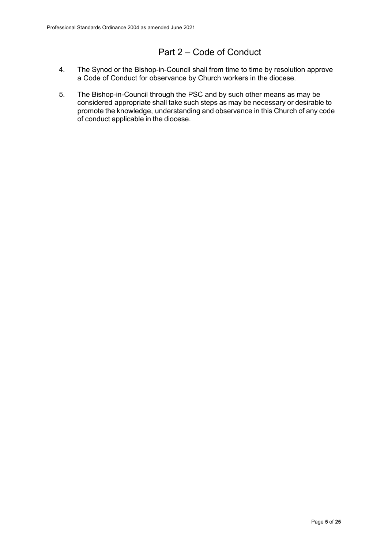# Part 2 – Code of Conduct

- 4. The Synod or the Bishop-in-Council shall from time to time by resolution approve a Code of Conduct for observance by Church workers in the diocese.
- 5. The Bishop-in-Council through the PSC and by such other means as may be considered appropriate shall take such steps as may be necessary or desirable to promote the knowledge, understanding and observance in this Church of any code of conduct applicable in the diocese.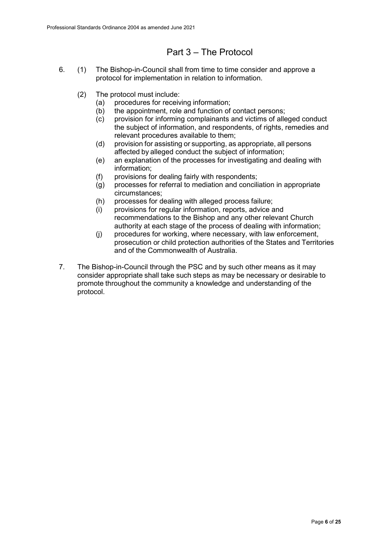## Part 3 – The Protocol

- 6. (1) The Bishop-in-Council shall from time to time consider and approve a protocol for implementation in relation to information.
	- (2) The protocol must include:
		- (a) procedures for receiving information;
		- (b) the appointment, role and function of contact persons;<br>(c) provision for informing complainants and victims of alle
		- provision for informing complainants and victims of alleged conduct the subject of information, and respondents, of rights, remedies and relevant procedures available to them;
		- (d) provision for assisting or supporting, as appropriate, all persons affected by alleged conduct the subject of information;
		- (e) an explanation of the processes for investigating and dealing with information;
		- (f) provisions for dealing fairly with respondents;
		- (g) processes for referral to mediation and conciliation in appropriate circumstances;
		- (h) processes for dealing with alleged process failure;
		- (i) provisions for regular information, reports, advice and recommendations to the Bishop and any other relevant Church authority at each stage of the process of dealing with information;
		- (j) procedures for working, where necessary, with law enforcement, prosecution or child protection authorities of the States and Territories and of the Commonwealth of Australia.
- 7. The Bishop-in-Council through the PSC and by such other means as it may consider appropriate shall take such steps as may be necessary or desirable to promote throughout the community a knowledge and understanding of the protocol.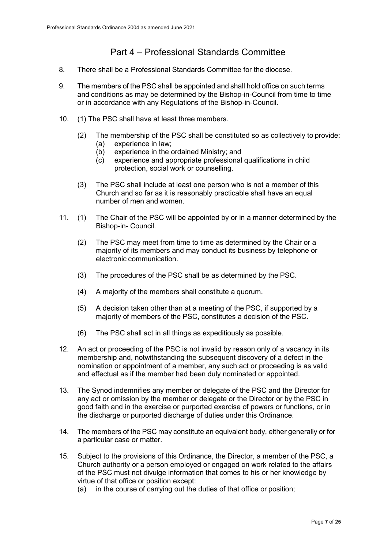## Part 4 – Professional Standards Committee

- 8. There shall be a Professional Standards Committee for the diocese.
- 9. The members of the PSC shall be appointed and shall hold office on such terms and conditions as may be determined by the Bishop-in-Council from time to time or in accordance with any Regulations of the Bishop-in-Council.
- 10. (1) The PSC shall have at least three members.
	- (2) The membership of the PSC shall be constituted so as collectively to provide:
		- (a) experience in law;
		- (b) experience in the ordained Ministry; and
		- (c) experience and appropriate professional qualifications in child protection, social work or counselling.
	- (3) The PSC shall include at least one person who is not a member of this Church and so far as it is reasonably practicable shall have an equal number of men and women.
- 11. (1) The Chair of the PSC will be appointed by or in a manner determined by the Bishop-in- Council.
	- (2) The PSC may meet from time to time as determined by the Chair or a majority of its members and may conduct its business by telephone or electronic communication.
	- (3) The procedures of the PSC shall be as determined by the PSC.
	- (4) A majority of the members shall constitute a quorum.
	- (5) A decision taken other than at a meeting of the PSC, if supported by a majority of members of the PSC, constitutes a decision of the PSC.
	- (6) The PSC shall act in all things as expeditiously as possible.
- 12. An act or proceeding of the PSC is not invalid by reason only of a vacancy in its membership and, notwithstanding the subsequent discovery of a defect in the nomination or appointment of a member, any such act or proceeding is as valid and effectual as if the member had been duly nominated or appointed.
- 13. The Synod indemnifies any member or delegate of the PSC and the Director for any act or omission by the member or delegate or the Director or by the PSC in good faith and in the exercise or purported exercise of powers or functions, or in the discharge or purported discharge of duties under this Ordinance.
- 14. The members of the PSC may constitute an equivalent body, either generally or for a particular case or matter.
- 15. Subject to the provisions of this Ordinance, the Director, a member of the PSC, a Church authority or a person employed or engaged on work related to the affairs of the PSC must not divulge information that comes to his or her knowledge by virtue of that office or position except:
	- (a) in the course of carrying out the duties of that office or position;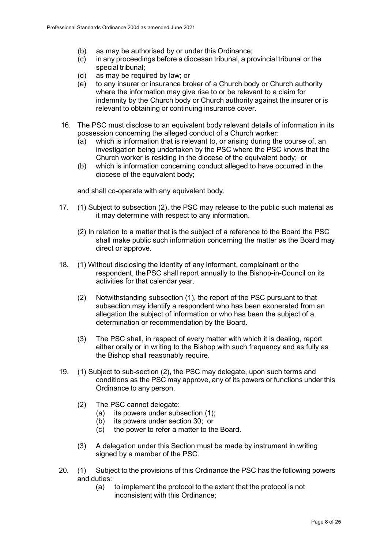- (b) as may be authorised by or under this Ordinance;
- (c) in any proceedings before a diocesan tribunal, a provincial tribunal or the special tribunal;
- (d) as may be required by law; or
- (e) to any insurer or insurance broker of a Church body or Church authority where the information may give rise to or be relevant to a claim for indemnity by the Church body or Church authority against the insurer or is relevant to obtaining or continuing insurance cover.
- 16. The PSC must disclose to an equivalent body relevant details of information in its possession concerning the alleged conduct of a Church worker:
	- (a) which is information that is relevant to, or arising during the course of, an investigation being undertaken by the PSC where the PSC knows that the Church worker is residing in the diocese of the equivalent body; or
	- (b) which is information concerning conduct alleged to have occurred in the diocese of the equivalent body;

and shall co-operate with any equivalent body.

- 17. (1) Subject to subsection (2), the PSC may release to the public such material as it may determine with respect to any information.
	- (2) In relation to a matter that is the subject of a reference to the Board the PSC shall make public such information concerning the matter as the Board may direct or approve.
- 18. (1) Without disclosing the identity of any informant, complainant or the respondent, thePSC shall report annually to the Bishop-in-Council on its activities for that calendar year.
	- (2) Notwithstanding subsection (1), the report of the PSC pursuant to that subsection may identify a respondent who has been exonerated from an allegation the subject of information or who has been the subject of a determination or recommendation by the Board.
	- (3) The PSC shall, in respect of every matter with which it is dealing, report either orally or in writing to the Bishop with such frequency and as fully as the Bishop shall reasonably require.
- 19. (1) Subject to sub-section (2), the PSC may delegate, upon such terms and conditions as the PSC may approve, any of its powers or functions under this Ordinance to any person.
	- (2) The PSC cannot delegate:
		- (a) its powers under subsection (1);
		- (b) its powers under section 30; or
		- (c) the power to refer a matter to the Board.
	- (3) A delegation under this Section must be made by instrument in writing signed by a member of the PSC.
- 20. (1) Subject to the provisions of this Ordinance the PSC has the following powers and duties:
	- (a) to implement the protocol to the extent that the protocol is not inconsistent with this Ordinance;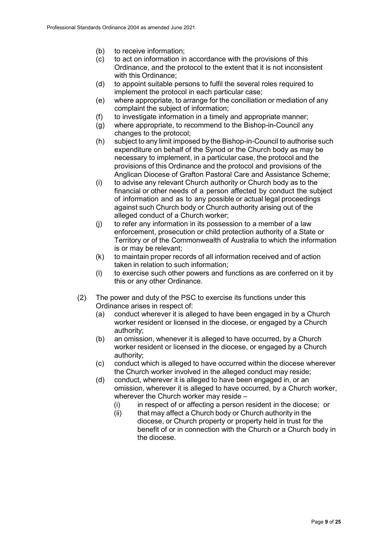- (b) to receive information;
- (c) to act on information in accordance with the provisions of this Ordinance, and the protocol to the extent that it is not inconsistent with this Ordinance;
- (d) to appoint suitable persons to fulfil the several roles required to implement the protocol in each particular case;
- (e) where appropriate, to arrange for the conciliation or mediation of any complaint the subject of information;
- (f) to investigate information in a timely and appropriate manner;
- (g) where appropriate, to recommend to the Bishop-in-Council any changes to the protocol;
- (h) subject to any limit imposed by the Bishop-in-Council to authorise such expenditure on behalf of the Synod or the Church body as may be necessary to implement, in a particular case, the protocol and the provisions of this Ordinance and the protocol and provisions of the Anglican Diocese of Grafton Pastoral Care and Assistance Scheme;
- (i) to advise any relevant Church authority or Church body as to the financial or other needs of a person affected by conduct the subject of information and as to any possible or actual legal proceedings against such Church body or Church authority arising out of the alleged conduct of a Church worker;
- (j) to refer any information in its possession to a member of a law enforcement, prosecution or child protection authority of a State or Territory or of the Commonwealth of Australia to which the information is or may be relevant;
- (k) to maintain proper records of all information received and of action taken in relation to such information;
- (l) to exercise such other powers and functions as are conferred on it by this or any other Ordinance.
- (2) The power and duty of the PSC to exercise its functions under this Ordinance arises in respect of:
	- (a) conduct wherever it is alleged to have been engaged in by a Church worker resident or licensed in the diocese, or engaged by a Church authority;
	- (b) an omission, whenever it is alleged to have occurred, by a Church worker resident or licensed in the diocese, or engaged by a Church authority;
	- (c) conduct which is alleged to have occurred within the diocese wherever the Church worker involved in the alleged conduct may reside;
	- (d) conduct, wherever it is alleged to have been engaged in, or an omission, wherever it is alleged to have occurred, by a Church worker, wherever the Church worker may reside –
		- $(i)$  in respect of or affecting a person resident in the diocese; or
		- $(i)$  that may affect a Church body or Church authority in the diocese, or Church property or property held in trust for the benefit of or in connection with the Church or a Church body in the diocese.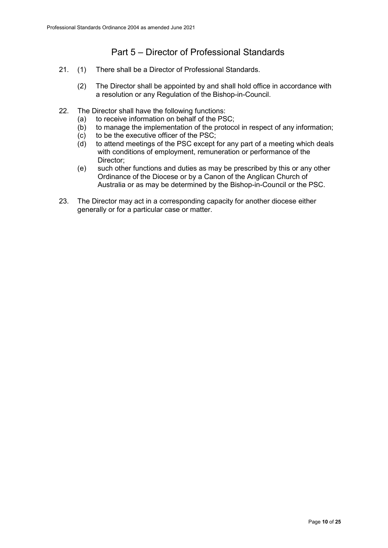## Part 5 – Director of Professional Standards

- 21. (1) There shall be a Director of Professional Standards.
	- (2) The Director shall be appointed by and shall hold office in accordance with a resolution or any Regulation of the Bishop-in-Council.
- 22. The Director shall have the following functions:
	- (a) to receive information on behalf of the PSC;<br>(b) to manage the implementation of the protoco
	- to manage the implementation of the protocol in respect of any information;
	- (c) to be the executive officer of the PSC;
	- $(d)$  to attend meetings of the PSC except for any part of a meeting which deals with conditions of employment, remuneration or performance of the Director;
	- (e) such other functions and duties as may be prescribed by this or any other Ordinance of the Diocese or by a Canon of the Anglican Church of Australia or as may be determined by the Bishop-in-Council or the PSC.
- 23. The Director may act in a corresponding capacity for another diocese either generally or for a particular case or matter.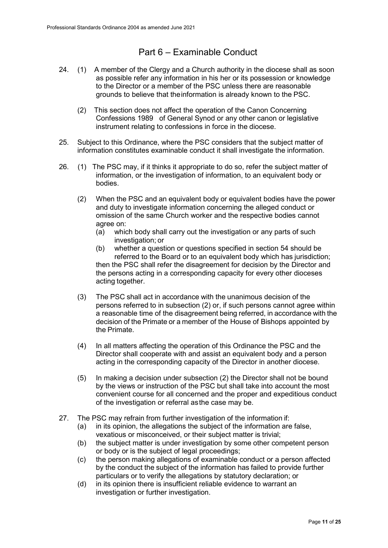## Part 6 – Examinable Conduct

- 24. (1) A member of the Clergy and a Church authority in the diocese shall as soon as possible refer any information in his her or its possession or knowledge to the Director or a member of the PSC unless there are reasonable grounds to believe that theinformation is already known to the PSC.
	- (2) This section does not affect the operation of the Canon Concerning Confessions 1989 of General Synod or any other canon or legislative instrument relating to confessions in force in the diocese.
- 25. Subject to this Ordinance, where the PSC considers that the subject matter of information constitutes examinable conduct it shall investigate the information.
- 26. (1) The PSC may, if it thinks it appropriate to do so, refer the subject matter of information, or the investigation of information, to an equivalent body or bodies.
	- (2) When the PSC and an equivalent body or equivalent bodies have the power and duty to investigate information concerning the alleged conduct or omission of the same Church worker and the respective bodies cannot agree on:
		- (a) which body shall carry out the investigation or any parts of such investigation; or
		- (b) whether a question or questions specified in section 54 should be referred to the Board or to an equivalent body which has jurisdiction; then the PSC shall refer the disagreement for decision by the Director and the persons acting in a corresponding capacity for every other dioceses acting together.
	- (3) The PSC shall act in accordance with the unanimous decision of the persons referred to in subsection (2) or, if such persons cannot agree within a reasonable time of the disagreement being referred, in accordance with the decision of the Primate or a member of the House of Bishops appointed by the Primate.
	- (4) In all matters affecting the operation of this Ordinance the PSC and the Director shall cooperate with and assist an equivalent body and a person acting in the corresponding capacity of the Director in another diocese.
	- (5) In making a decision under subsection (2) the Director shall not be bound by the views or instruction of the PSC but shall take into account the most convenient course for all concerned and the proper and expeditious conduct of the investigation or referral asthe case may be.
- 27. The PSC may refrain from further investigation of the information if:
	- (a) in its opinion, the allegations the subject of the information are false, vexatious or misconceived, or their subject matter is trivial;
	- (b) the subject matter is under investigation by some other competent person or body or is the subject of legal proceedings;
	- (c) the person making allegations of examinable conduct or a person affected by the conduct the subject of the information has failed to provide further particulars or to verify the allegations by statutory declaration; or
	- (d) in its opinion there is insufficient reliable evidence to warrant an investigation or further investigation.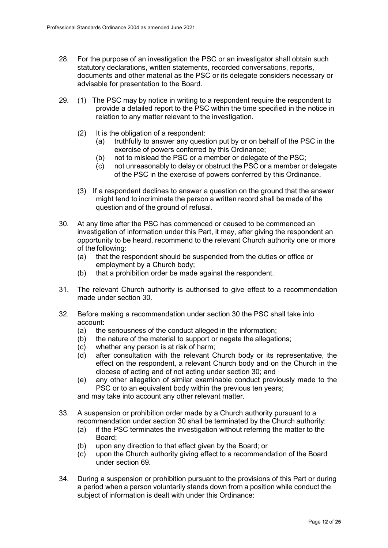- 28. For the purpose of an investigation the PSC or an investigator shall obtain such statutory declarations, written statements, recorded conversations, reports, documents and other material as the PSC or its delegate considers necessary or advisable for presentation to the Board.
- 29. (1) The PSC may by notice in writing to a respondent require the respondent to provide a detailed report to the PSC within the time specified in the notice in relation to any matter relevant to the investigation.
	- (2) It is the obligation of a respondent:
		- (a) truthfully to answer any question put by or on behalf of the PSC in the exercise of powers conferred by this Ordinance;
		- (b) not to mislead the PSC or a member or delegate of the PSC;
		- (c) not unreasonably to delay or obstruct the PSC or a member or delegate of the PSC in the exercise of powers conferred by this Ordinance.
	- (3) If a respondent declines to answer a question on the ground that the answer might tend to incriminate the person a written record shall be made of the question and of the ground of refusal.
- 30. At any time after the PSC has commenced or caused to be commenced an investigation of information under this Part, it may, after giving the respondent an opportunity to be heard, recommend to the relevant Church authority one or more of the following:
	- (a) that the respondent should be suspended from the duties or office or employment by a Church body;
	- (b) that a prohibition order be made against the respondent.
- 31. The relevant Church authority is authorised to give effect to a recommendation made under section 30.
- 32. Before making a recommendation under section 30 the PSC shall take into account:
	- (a) the seriousness of the conduct alleged in the information;<br>(b) the nature of the material to support or negate the allegation
	- the nature of the material to support or negate the allegations;
	- (c) whether any person is at risk of harm;
	- (d) after consultation with the relevant Church body or its representative, the effect on the respondent, a relevant Church body and on the Church in the diocese of acting and of not acting under section 30; and
	- (e) any other allegation of similar examinable conduct previously made to the PSC or to an equivalent body within the previous ten years;

and may take into account any other relevant matter.

- 33. A suspension or prohibition order made by a Church authority pursuant to a recommendation under section 30 shall be terminated by the Church authority:
	- (a) if the PSC terminates the investigation without referring the matter to the Board;
	- (b) upon any direction to that effect given by the Board; or
	- (c) upon the Church authority giving effect to a recommendation of the Board under section 69.
- 34. During a suspension or prohibition pursuant to the provisions of this Part or during a period when a person voluntarily stands down from a position while conduct the subject of information is dealt with under this Ordinance: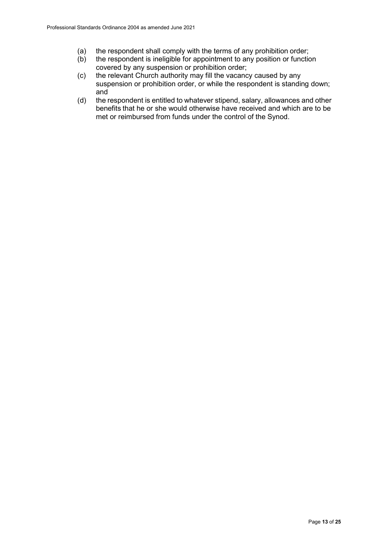- (a) the respondent shall comply with the terms of any prohibition order;<br>(b) the respondent is ineligible for appointment to any position or function
- the respondent is ineligible for appointment to any position or function covered by any suspension or prohibition order;
- (c) the relevant Church authority may fill the vacancy caused by any suspension or prohibition order, or while the respondent is standing down; and
- (d) the respondent is entitled to whatever stipend, salary, allowances and other benefits that he or she would otherwise have received and which are to be met or reimbursed from funds under the control of the Synod.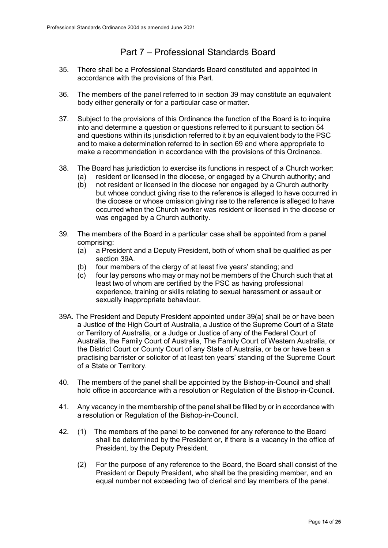## Part 7 – Professional Standards Board

- 35. There shall be a Professional Standards Board constituted and appointed in accordance with the provisions of this Part.
- 36. The members of the panel referred to in section 39 may constitute an equivalent body either generally or for a particular case or matter.
- 37. Subject to the provisions of this Ordinance the function of the Board is to inquire into and determine a question or questions referred to it pursuant to section 54 and questions within its jurisdiction referred to it by an equivalent body to the PSC and to make a determination referred to in section 69 and where appropriate to make a recommendation in accordance with the provisions of this Ordinance.
- 38. The Board has jurisdiction to exercise its functions in respect of a Church worker:
	- (a) resident or licensed in the diocese, or engaged by a Church authority; and (b) not resident or licensed in the diocese nor engaged by a Church authority
	- not resident or licensed in the diocese nor engaged by a Church authority but whose conduct giving rise to the reference is alleged to have occurred in the diocese or whose omission giving rise to the reference is alleged to have occurred when the Church worker was resident or licensed in the diocese or was engaged by a Church authority.
- 39. The members of the Board in a particular case shall be appointed from a panel comprising:
	- (a) a President and a Deputy President, both of whom shall be qualified as per section 39A.
	- (b) four members of the clergy of at least five years' standing; and
	- (c) four lay persons who may or may not be members of the Church such that at least two of whom are certified by the PSC as having professional experience, training or skills relating to sexual harassment or assault or sexually inappropriate behaviour.
- 39A. The President and Deputy President appointed under 39(a) shall be or have been a Justice of the High Court of Australia, a Justice of the Supreme Court of a State or Territory of Australia, or a Judge or Justice of any of the Federal Court of Australia, the Family Court of Australia, The Family Court of Western Australia, or the District Court or County Court of any State of Australia, or be or have been a practising barrister or solicitor of at least ten years' standing of the Supreme Court of a State or Territory.
- 40. The members of the panel shall be appointed by the Bishop-in-Council and shall hold office in accordance with a resolution or Regulation of the Bishop-in-Council.
- 41. Any vacancy in the membership of the panel shall be filled by or in accordance with a resolution or Regulation of the Bishop-in-Council.
- 42. (1) The members of the panel to be convened for any reference to the Board shall be determined by the President or, if there is a vacancy in the office of President, by the Deputy President.
	- (2) For the purpose of any reference to the Board, the Board shall consist of the President or Deputy President, who shall be the presiding member, and an equal number not exceeding two of clerical and lay members of the panel.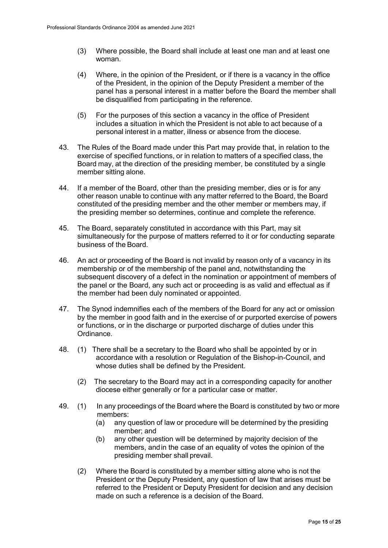- (3) Where possible, the Board shall include at least one man and at least one woman.
- (4) Where, in the opinion of the President, or if there is a vacancy in the office of the President, in the opinion of the Deputy President a member of the panel has a personal interest in a matter before the Board the member shall be disqualified from participating in the reference.
- (5) For the purposes of this section a vacancy in the office of President includes a situation in which the President is not able to act because of a personal interest in a matter, illness or absence from the diocese.
- 43. The Rules of the Board made under this Part may provide that, in relation to the exercise of specified functions, or in relation to matters of a specified class, the Board may, at the direction of the presiding member, be constituted by a single member sitting alone.
- 44. If a member of the Board, other than the presiding member, dies or is for any other reason unable to continue with any matter referred to the Board, the Board constituted of the presiding member and the other member or members may, if the presiding member so determines, continue and complete the reference.
- 45. The Board, separately constituted in accordance with this Part, may sit simultaneously for the purpose of matters referred to it or for conducting separate business of the Board.
- 46. An act or proceeding of the Board is not invalid by reason only of a vacancy in its membership or of the membership of the panel and, notwithstanding the subsequent discovery of a defect in the nomination or appointment of members of the panel or the Board, any such act or proceeding is as valid and effectual as if the member had been duly nominated or appointed.
- 47. The Synod indemnifies each of the members of the Board for any act or omission by the member in good faith and in the exercise of or purported exercise of powers or functions, or in the discharge or purported discharge of duties under this Ordinance.
- 48. (1) There shall be a secretary to the Board who shall be appointed by or in accordance with a resolution or Regulation of the Bishop-in-Council, and whose duties shall be defined by the President.
	- (2) The secretary to the Board may act in a corresponding capacity for another diocese either generally or for a particular case or matter.
- 49. (1) In any proceedings of the Board where the Board is constituted by two or more members:
	- (a) any question of law or procedure will be determined by the presiding member; and
	- (b) any other question will be determined by majority decision of the members, andin the case of an equality of votes the opinion of the presiding member shall prevail.
	- (2) Where the Board is constituted by a member sitting alone who is not the President or the Deputy President, any question of law that arises must be referred to the President or Deputy President for decision and any decision made on such a reference is a decision of the Board.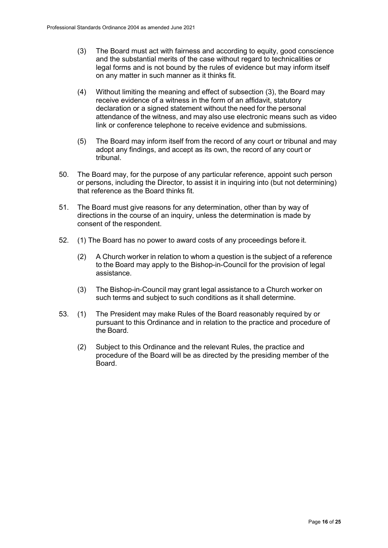- (3) The Board must act with fairness and according to equity, good conscience and the substantial merits of the case without regard to technicalities or legal forms and is not bound by the rules of evidence but may inform itself on any matter in such manner as it thinks fit.
- (4) Without limiting the meaning and effect of subsection (3), the Board may receive evidence of a witness in the form of an affidavit, statutory declaration or a signed statement without the need for the personal attendance of the witness, and may also use electronic means such as video link or conference telephone to receive evidence and submissions.
- (5) The Board may inform itself from the record of any court or tribunal and may adopt any findings, and accept as its own, the record of any court or tribunal.
- 50. The Board may, for the purpose of any particular reference, appoint such person or persons, including the Director, to assist it in inquiring into (but not determining) that reference as the Board thinks fit.
- 51. The Board must give reasons for any determination, other than by way of directions in the course of an inquiry, unless the determination is made by consent of the respondent.
- 52. (1) The Board has no power to award costs of any proceedings before it.
	- (2) A Church worker in relation to whom a question is the subject of a reference to the Board may apply to the Bishop-in-Council for the provision of legal assistance.
	- (3) The Bishop-in-Council may grant legal assistance to a Church worker on such terms and subject to such conditions as it shall determine.
- 53. (1) The President may make Rules of the Board reasonably required by or pursuant to this Ordinance and in relation to the practice and procedure of the Board.
	- (2) Subject to this Ordinance and the relevant Rules, the practice and procedure of the Board will be as directed by the presiding member of the Board.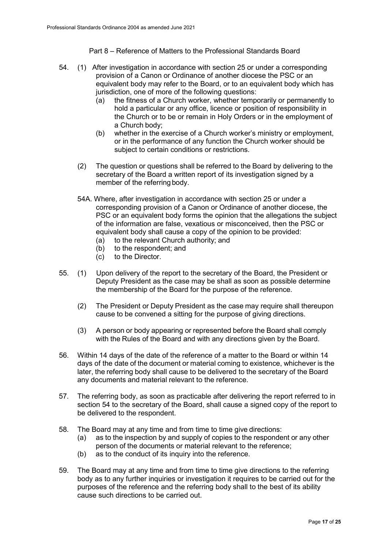Part 8 – Reference of Matters to the Professional Standards Board

- 54. (1) After investigation in accordance with section 25 or under a corresponding provision of a Canon or Ordinance of another diocese the PSC or an equivalent body may refer to the Board, or to an equivalent body which has jurisdiction, one of more of the following questions:
	- (a) the fitness of a Church worker, whether temporarily or permanently to hold a particular or any office, licence or position of responsibility in the Church or to be or remain in Holy Orders or in the employment of a Church body;
	- (b) whether in the exercise of a Church worker's ministry or employment, or in the performance of any function the Church worker should be subject to certain conditions or restrictions.
	- (2) The question or questions shall be referred to the Board by delivering to the secretary of the Board a written report of its investigation signed by a member of the referring body.
	- 54A. Where, after investigation in accordance with section 25 or under a corresponding provision of a Canon or Ordinance of another diocese, the PSC or an equivalent body forms the opinion that the allegations the subject of the information are false, vexatious or misconceived, then the PSC or equivalent body shall cause a copy of the opinion to be provided:
		- (a) to the relevant Church authority; and
		- (b) to the respondent; and  $(c)$  to the Director.
		- to the Director.
- 55. (1) Upon delivery of the report to the secretary of the Board, the President or Deputy President as the case may be shall as soon as possible determine the membership of the Board for the purpose of the reference.
	- (2) The President or Deputy President as the case may require shall thereupon cause to be convened a sitting for the purpose of giving directions.
	- (3) A person or body appearing or represented before the Board shall comply with the Rules of the Board and with any directions given by the Board.
- 56. Within 14 days of the date of the reference of a matter to the Board or within 14 days of the date of the document or material coming to existence, whichever is the later, the referring body shall cause to be delivered to the secretary of the Board any documents and material relevant to the reference.
- 57. The referring body, as soon as practicable after delivering the report referred to in section 54 to the secretary of the Board, shall cause a signed copy of the report to be delivered to the respondent.
- 58. The Board may at any time and from time to time give directions:
	- (a) as to the inspection by and supply of copies to the respondent or any other person of the documents or material relevant to the reference;
	- (b) as to the conduct of its inquiry into the reference.
- 59. The Board may at any time and from time to time give directions to the referring body as to any further inquiries or investigation it requires to be carried out for the purposes of the reference and the referring body shall to the best of its ability cause such directions to be carried out.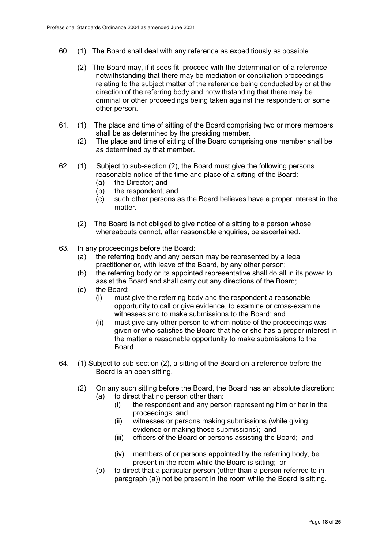- 60. (1) The Board shall deal with any reference as expeditiously as possible.
	- (2) The Board may, if it sees fit, proceed with the determination of a reference notwithstanding that there may be mediation or conciliation proceedings relating to the subject matter of the reference being conducted by or at the direction of the referring body and notwithstanding that there may be criminal or other proceedings being taken against the respondent or some other person.
- 61. (1) The place and time of sitting of the Board comprising two or more members shall be as determined by the presiding member.
	- (2) The place and time of sitting of the Board comprising one member shall be as determined by that member.
- 62. (1) Subject to sub-section (2), the Board must give the following persons reasonable notice of the time and place of a sitting of the Board:<br>(a) the Director; and
	- the Director; and
	- (b) the respondent; and
	- (c) such other persons as the Board believes have a proper interest in the matter.
	- (2) The Board is not obliged to give notice of a sitting to a person whose whereabouts cannot, after reasonable enquiries, be ascertained.
- 63. In any proceedings before the Board:<br>(a) the referring body and any perse
	- the referring body and any person may be represented by a legal practitioner or, with leave of the Board, by any other person;
	- (b) the referring body or its appointed representative shall do all in its power to assist the Board and shall carry out any directions of the Board;
	- (c) the Board:
		- (i) must give the referring body and the respondent a reasonable opportunity to call or give evidence, to examine or cross-examine witnesses and to make submissions to the Board; and
		- (ii) must give any other person to whom notice of the proceedings was given or who satisfies the Board that he or she has a proper interest in the matter a reasonable opportunity to make submissions to the **Board**
- 64. (1) Subject to sub-section (2), a sitting of the Board on a reference before the Board is an open sitting.
	- (2) On any such sitting before the Board, the Board has an absolute discretion: (a) to direct that no person other than:
		- (i) the respondent and any person representing him or her in the proceedings; and
		- (ii) witnesses or persons making submissions (while giving evidence or making those submissions); and
		- (iii) officers of the Board or persons assisting the Board; and
		- (iv) members of or persons appointed by the referring body, be present in the room while the Board is sitting; or
		- (b) to direct that a particular person (other than a person referred to in paragraph (a)) not be present in the room while the Board is sitting.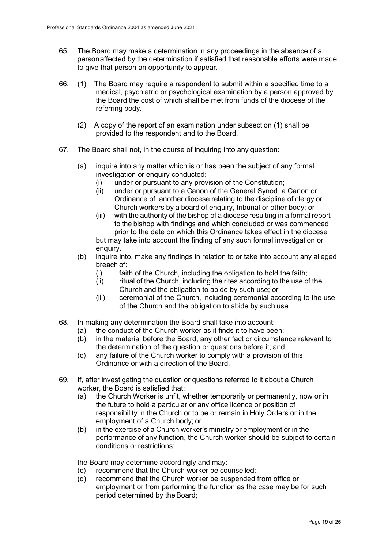- 65. The Board may make a determination in any proceedings in the absence of a personaffected by the determination if satisfied that reasonable efforts were made to give that person an opportunity to appear.
- 66. (1) The Board may require a respondent to submit within a specified time to a medical, psychiatric or psychological examination by a person approved by the Board the cost of which shall be met from funds of the diocese of the referring body.
	- (2) A copy of the report of an examination under subsection (1) shall be provided to the respondent and to the Board.
- 67. The Board shall not, in the course of inquiring into any question:
	- (a) inquire into any matter which is or has been the subject of any formal investigation or enquiry conducted:
		- (i) under or pursuant to any provision of the Constitution;
		- under or pursuant to a Canon of the General Synod, a Canon or Ordinance of another diocese relating to the discipline of clergy or Church workers by a board of enquiry, tribunal or other body; or
		- (iii) with the authority of the bishop of a diocese resulting in a formal report to the bishop with findings and which concluded or was commenced prior to the date on which this Ordinance takes effect in the diocese but may take into account the finding of any such formal investigation or enquiry.
	- (b) inquire into, make any findings in relation to or take into account any alleged breach of:
		- (i) faith of the Church, including the obligation to hold the faith;
		- (ii) ritual of the Church, including the rites according to the use of the Church and the obligation to abide by such use; or
		- (iii) ceremonial of the Church, including ceremonial according to the use of the Church and the obligation to abide by such use.
- 68. In making any determination the Board shall take into account:
	- (a) the conduct of the Church worker as it finds it to have been;<br>(b) in the material before the Board, any other fact or circumstal
	- in the material before the Board, any other fact or circumstance relevant to the determination of the question or questions before it; and
	- (c) any failure of the Church worker to comply with a provision of this Ordinance or with a direction of the Board.
- 69. If, after investigating the question or questions referred to it about a Church worker, the Board is satisfied that:
	- (a) the Church Worker is unfit, whether temporarily or permanently, now or in the future to hold a particular or any office licence or position of responsibility in the Church or to be or remain in Holy Orders or in the employment of a Church body; or
	- (b) in the exercise of a Church worker's ministry or employment or in the performance of any function, the Church worker should be subject to certain conditions or restrictions;

the Board may determine accordingly and may:

- (c) recommend that the Church worker be counselled;
- (d) recommend that the Church worker be suspended from office or employment or from performing the function as the case may be for such period determined by the Board;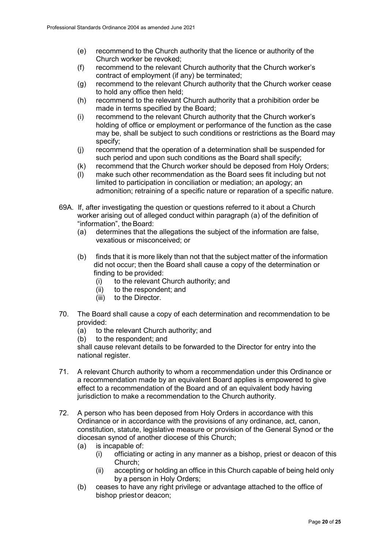- (e) recommend to the Church authority that the licence or authority of the Church worker be revoked;
- (f) recommend to the relevant Church authority that the Church worker's contract of employment (if any) be terminated;
- (g) recommend to the relevant Church authority that the Church worker cease to hold any office then held;
- (h) recommend to the relevant Church authority that a prohibition order be made in terms specified by the Board;
- (i) recommend to the relevant Church authority that the Church worker's holding of office or employment or performance of the function as the case may be, shall be subject to such conditions or restrictions as the Board may specify;
- (j) recommend that the operation of a determination shall be suspended for such period and upon such conditions as the Board shall specify;
- (k) recommend that the Church worker should be deposed from Holy Orders;
- (l) make such other recommendation as the Board sees fit including but not limited to participation in conciliation or mediation; an apology; an admonition; retraining of a specific nature or reparation of a specific nature.
- 69A. If, after investigating the question or questions referred to it about a Church worker arising out of alleged conduct within paragraph (a) of the definition of "information", the Board:
	- (a) determines that the allegations the subject of the information are false, vexatious or misconceived; or
	- (b) finds that it is more likely than not that the subject matter of the information did not occur; then the Board shall cause a copy of the determination or finding to be provided:
		- (i) to the relevant Church authority; and
		- (ii) to the respondent; and
		- (iii) to the Director.
- 70. The Board shall cause a copy of each determination and recommendation to be provided:
	- (a) to the relevant Church authority; and
	- (b) to the respondent; and

shall cause relevant details to be forwarded to the Director for entry into the national register.

- 71. A relevant Church authority to whom a recommendation under this Ordinance or a recommendation made by an equivalent Board applies is empowered to give effect to a recommendation of the Board and of an equivalent body having jurisdiction to make a recommendation to the Church authority.
- 72. A person who has been deposed from Holy Orders in accordance with this Ordinance or in accordance with the provisions of any ordinance, act, canon, constitution, statute, legislative measure or provision of the General Synod or the diocesan synod of another diocese of this Church;
	- (a) is incapable of:
		- (i) officiating or acting in any manner as a bishop, priest or deacon of this Church;
		- (ii) accepting or holding an office in this Church capable of being held only by a person in Holy Orders;
	- (b) ceases to have any right privilege or advantage attached to the office of bishop priestor deacon;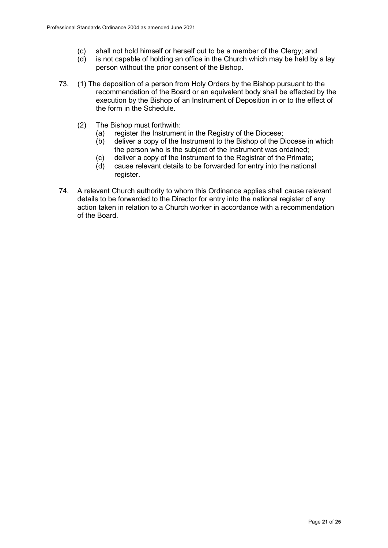- (c) shall not hold himself or herself out to be a member of the Clergy; and
- (d) is not capable of holding an office in the Church which may be held by a lay person without the prior consent of the Bishop.
- 73. (1) The deposition of a person from Holy Orders by the Bishop pursuant to the recommendation of the Board or an equivalent body shall be effected by the execution by the Bishop of an Instrument of Deposition in or to the effect of the form in the Schedule.
	- (2) The Bishop must forthwith:
		- (a) register the Instrument in the Registry of the Diocese;<br>(b) deliver a copy of the Instrument to the Bishop of the D
		- deliver a copy of the Instrument to the Bishop of the Diocese in which the person who is the subject of the Instrument was ordained;
		- (c) deliver a copy of the Instrument to the Registrar of the Primate;
		- (d) cause relevant details to be forwarded for entry into the national register.
- 74. A relevant Church authority to whom this Ordinance applies shall cause relevant details to be forwarded to the Director for entry into the national register of any action taken in relation to a Church worker in accordance with a recommendation of the Board.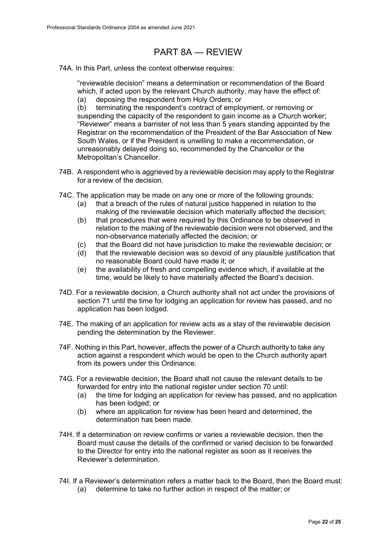## PART 8A — REVIEW

74A. In this Part, unless the context otherwise requires:

"reviewable decision" means a determination or recommendation of the Board which, if acted upon by the relevant Church authority, may have the effect of: (a) deposing the respondent from Holy Orders; or

(b) terminating the respondent's contract of employment, or removing or suspending the capacity of the respondent to gain income as a Church worker; "Reviewer" means a barrister of not less than 5 years standing appointed by the Registrar on the recommendation of the President of the Bar Association of New South Wales, or if the President is unwilling to make a recommendation, or unreasonably delayed doing so, recommended by the Chancellor or the Metropolitan's Chancellor.

- 74B. A respondent who is aggrieved by a reviewable decision may apply to the Registrar for a review of the decision.
- 74C. The application may be made on any one or more of the following grounds:
	- (a) that a breach of the rules of natural justice happened in relation to the making of the reviewable decision which materially affected the decision;
	- (b) that procedures that were required by this Ordinance to be observed in relation to the making of the reviewable decision were not observed, and the non-observance materially affected the decision; or
	- (c) that the Board did not have jurisdiction to make the reviewable decision; or
	- (d) that the reviewable decision was so devoid of any plausible justification that no reasonable Board could have made it; or
	- (e) the availability of fresh and compelling evidence which, if available at the time, would be likely to have materially affected the Board's decision.
- 74D. For a reviewable decision, a Church authority shall not act under the provisions of section 71 until the time for lodging an application for review has passed, and no application has been lodged.
- 74E. The making of an application for review acts as a stay of the reviewable decision pending the determination by the Reviewer.
- 74F. Nothing in this Part, however, affects the power of a Church authority to take any action against a respondent which would be open to the Church authority apart from its powers under this Ordinance.
- 74G. For a reviewable decision, the Board shall not cause the relevant details to be forwarded for entry into the national register under section 70 until:
	- (a) the time for lodging an application for review has passed, and no application has been lodged; or
	- (b) where an application for review has been heard and determined, the determination has been made.
- 74H. If a determination on review confirms or varies a reviewable decision, then the Board must cause the details of the confirmed or varied decision to be forwarded to the Director for entry into the national register as soon as it receives the Reviewer's determination.
- 74I. If a Reviewer's determination refers a matter back to the Board, then the Board must: (a) determine to take no further action in respect of the matter; or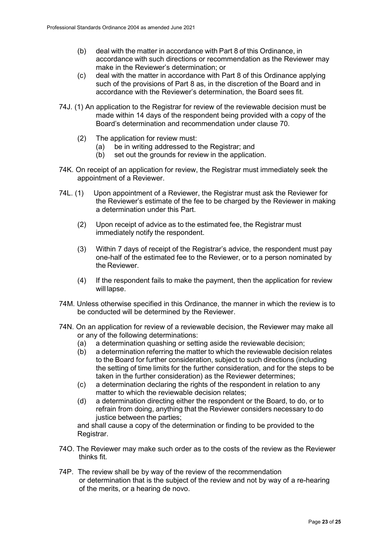- (b) deal with the matter in accordance with Part 8 of this Ordinance, in accordance with such directions or recommendation as the Reviewer may make in the Reviewer's determination; or
- (c) deal with the matter in accordance with Part 8 of this Ordinance applying such of the provisions of Part 8 as, in the discretion of the Board and in accordance with the Reviewer's determination, the Board sees fit.
- 74J. (1) An application to the Registrar for review of the reviewable decision must be made within 14 days of the respondent being provided with a copy of the Board's determination and recommendation under clause 70.
	- (2) The application for review must:
		- (a) be in writing addressed to the Registrar; and
		- (b) set out the grounds for review in the application.
- 74K. On receipt of an application for review, the Registrar must immediately seek the appointment of a Reviewer.
- 74L. (1) Upon appointment of a Reviewer, the Registrar must ask the Reviewer for the Reviewer's estimate of the fee to be charged by the Reviewer in making a determination under this Part.
	- (2) Upon receipt of advice as to the estimated fee, the Registrar must immediately notify the respondent.
	- (3) Within 7 days of receipt of the Registrar's advice, the respondent must pay one-half of the estimated fee to the Reviewer, or to a person nominated by the Reviewer.
	- (4) If the respondent fails to make the payment, then the application for review will lapse.
- 74M. Unless otherwise specified in this Ordinance, the manner in which the review is to be conducted will be determined by the Reviewer.
- 74N. On an application for review of a reviewable decision, the Reviewer may make all or any of the following determinations:
	- (a) a determination quashing or setting aside the reviewable decision;
	- (b) a determination referring the matter to which the reviewable decision relates to the Board for further consideration, subject to such directions (including the setting of time limits for the further consideration, and for the steps to be taken in the further consideration) as the Reviewer determines;
	- (c) a determination declaring the rights of the respondent in relation to any matter to which the reviewable decision relates;
	- (d) a determination directing either the respondent or the Board, to do, or to refrain from doing, anything that the Reviewer considers necessary to do justice between the parties;

and shall cause a copy of the determination or finding to be provided to the Registrar.

- 74O. The Reviewer may make such order as to the costs of the review as the Reviewer thinks fit.
- 74P. The review shall be by way of the review of the recommendation or determination that is the subject of the review and not by way of a re-hearing of the merits, or a hearing de novo.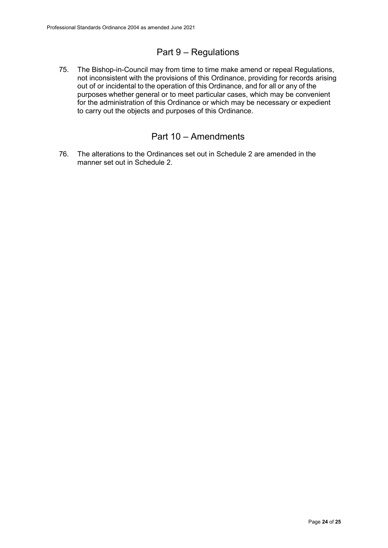## Part 9 – Regulations

75. The Bishop-in-Council may from time to time make amend or repeal Regulations, not inconsistent with the provisions of this Ordinance, providing for records arising out of or incidental to the operation of this Ordinance, and for all or any of the purposes whether general or to meet particular cases, which may be convenient for the administration of this Ordinance or which may be necessary or expedient to carry out the objects and purposes of this Ordinance.

### Part 10 – Amendments

76. The alterations to the Ordinances set out in Schedule 2 are amended in the manner set out in Schedule 2.